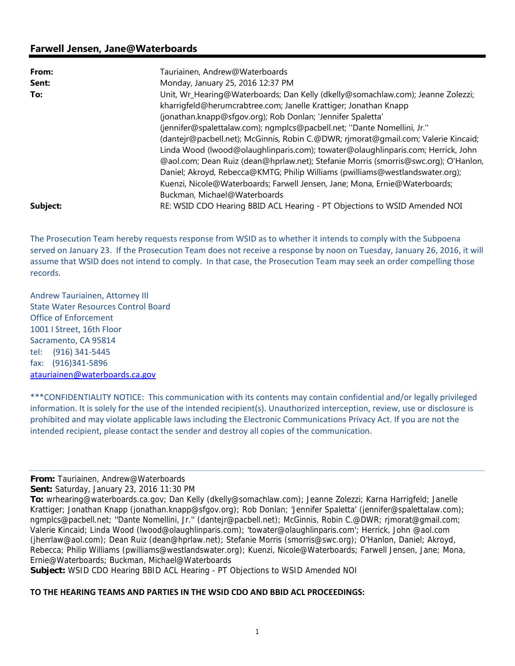# **Farwell Jensen, Jane@Waterboards**

| From:    | Tauriainen, Andrew@Waterboards                                                      |
|----------|-------------------------------------------------------------------------------------|
| Sent:    | Monday, January 25, 2016 12:37 PM                                                   |
| To:      | Unit, Wr_Hearing@Waterboards; Dan Kelly (dkelly@somachlaw.com); Jeanne Zolezzi;     |
|          | kharrigfeld@herumcrabtree.com; Janelle Krattiger; Jonathan Knapp                    |
|          | (jonathan.knapp@sfgov.org); Rob Donlan; 'Jennifer Spaletta'                         |
|          | (jennifer@spalettalaw.com); ngmplcs@pacbell.net; "Dante Nomellini, Jr."             |
|          | (dantejr@pacbell.net); McGinnis, Robin C.@DWR; rjmorat@gmail.com; Valerie Kincaid;  |
|          | Linda Wood (Iwood@olaughlinparis.com); towater@olaughlinparis.com; Herrick, John    |
|          | @aol.com; Dean Ruiz (dean@hprlaw.net); Stefanie Morris (smorris@swc.org); O'Hanlon, |
|          | Daniel; Akroyd, Rebecca@KMTG; Philip Williams (pwilliams@westlandswater.org);       |
|          | Kuenzi, Nicole@Waterboards; Farwell Jensen, Jane; Mona, Ernie@Waterboards;          |
|          | Buckman, Michael@Waterboards                                                        |
| Subject: | RE: WSID CDO Hearing BBID ACL Hearing - PT Objections to WSID Amended NOI           |

The Prosecution Team hereby requests response from WSID as to whether it intends to comply with the Subpoena served on January 23. If the Prosecution Team does not receive a response by noon on Tuesday, January 26, 2016, it will assume that WSID does not intend to comply. In that case, the Prosecution Team may seek an order compelling those records.

Andrew Tauriainen, Attorney III State Water Resources Control Board Office of Enforcement 1001 I Street, 16th Floor Sacramento, CA 95814 tel: (916) 341‐5445 fax: (916)341‐5896 atauriainen@waterboards.ca.gov

\*\*\*CONFIDENTIALITY NOTICE: This communication with its contents may contain confidential and/or legally privileged information. It is solely for the use of the intended recipient(s). Unauthorized interception, review, use or disclosure is prohibited and may violate applicable laws including the Electronic Communications Privacy Act. If you are not the intended recipient, please contact the sender and destroy all copies of the communication.

## **From:** Tauriainen, Andrew@Waterboards

```
Sent: Saturday, January 23, 2016 11:30 PM
```
**To:** wrhearing@waterboards.ca.gov; Dan Kelly (dkelly@somachlaw.com); Jeanne Zolezzi; Karna Harrigfeld; Janelle Krattiger; Jonathan Knapp (jonathan.knapp@sfgov.org); Rob Donlan; 'Jennifer Spaletta' (jennifer@spalettalaw.com); ngmplcs@pacbell.net; ''Dante Nomellini, Jr.'' (dantejr@pacbell.net); McGinnis, Robin C.@DWR; rjmorat@gmail.com; Valerie Kincaid; Linda Wood (lwood@olaughlinparis.com); 'towater@olaughlinparis.com'; Herrick, John @aol.com (jherrlaw@aol.com); Dean Ruiz (dean@hprlaw.net); Stefanie Morris (smorris@swc.org); O'Hanlon, Daniel; Akroyd, Rebecca; Philip Williams (pwilliams@westlandswater.org); Kuenzi, Nicole@Waterboards; Farwell Jensen, Jane; Mona, Ernie@Waterboards; Buckman, Michael@Waterboards

**Subject:** WSID CDO Hearing BBID ACL Hearing - PT Objections to WSID Amended NOI

## **TO THE HEARING TEAMS AND PARTIES IN THE WSID CDO AND BBID ACL PROCEEDINGS:**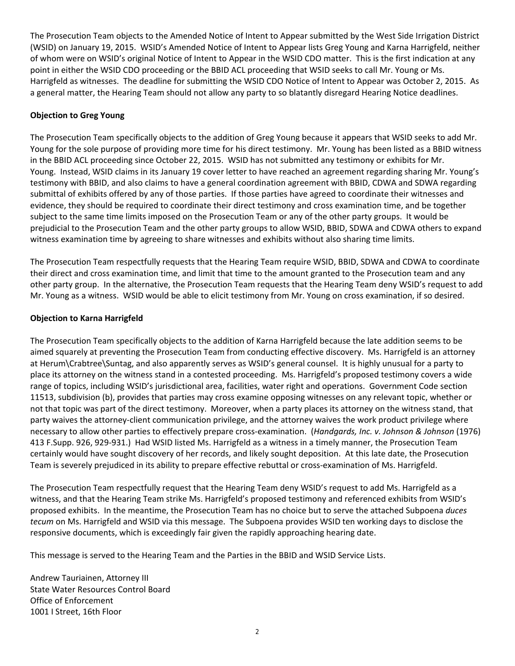The Prosecution Team objects to the Amended Notice of Intent to Appear submitted by the West Side Irrigation District (WSID) on January 19, 2015. WSID's Amended Notice of Intent to Appear lists Greg Young and Karna Harrigfeld, neither of whom were on WSID's original Notice of Intent to Appear in the WSID CDO matter. This is the first indication at any point in either the WSID CDO proceeding or the BBID ACL proceeding that WSID seeks to call Mr. Young or Ms. Harrigfeld as witnesses. The deadline for submitting the WSID CDO Notice of Intent to Appear was October 2, 2015. As a general matter, the Hearing Team should not allow any party to so blatantly disregard Hearing Notice deadlines.

### **Objection to Greg Young**

The Prosecution Team specifically objects to the addition of Greg Young because it appears that WSID seeks to add Mr. Young for the sole purpose of providing more time for his direct testimony. Mr. Young has been listed as a BBID witness in the BBID ACL proceeding since October 22, 2015. WSID has not submitted any testimony or exhibits for Mr. Young. Instead, WSID claims in its January 19 cover letter to have reached an agreement regarding sharing Mr. Young's testimony with BBID, and also claims to have a general coordination agreement with BBID, CDWA and SDWA regarding submittal of exhibits offered by any of those parties. If those parties have agreed to coordinate their witnesses and evidence, they should be required to coordinate their direct testimony and cross examination time, and be together subject to the same time limits imposed on the Prosecution Team or any of the other party groups. It would be prejudicial to the Prosecution Team and the other party groups to allow WSID, BBID, SDWA and CDWA others to expand witness examination time by agreeing to share witnesses and exhibits without also sharing time limits.

The Prosecution Team respectfully requests that the Hearing Team require WSID, BBID, SDWA and CDWA to coordinate their direct and cross examination time, and limit that time to the amount granted to the Prosecution team and any other party group. In the alternative, the Prosecution Team requests that the Hearing Team deny WSID's request to add Mr. Young as a witness. WSID would be able to elicit testimony from Mr. Young on cross examination, if so desired.

### **Objection to Karna Harrigfeld**

The Prosecution Team specifically objects to the addition of Karna Harrigfeld because the late addition seems to be aimed squarely at preventing the Prosecution Team from conducting effective discovery. Ms. Harrigfeld is an attorney at Herum\Crabtree\Suntag, and also apparently serves as WSID's general counsel. It is highly unusual for a party to place its attorney on the witness stand in a contested proceeding. Ms. Harrigfeld's proposed testimony covers a wide range of topics, including WSID's jurisdictional area, facilities, water right and operations. Government Code section 11513, subdivision (b), provides that parties may cross examine opposing witnesses on any relevant topic, whether or not that topic was part of the direct testimony. Moreover, when a party places its attorney on the witness stand, that party waives the attorney-client communication privilege, and the attorney waives the work product privilege where necessary to allow other parties to effectively prepare cross‐examination. (*Handgards, Inc. v. Johnson & Johnson* (1976) 413 F.Supp. 926, 929‐931.) Had WSID listed Ms. Harrigfeld as a witness in a timely manner, the Prosecution Team certainly would have sought discovery of her records, and likely sought deposition. At this late date, the Prosecution Team is severely prejudiced in its ability to prepare effective rebuttal or cross-examination of Ms. Harrigfeld.

The Prosecution Team respectfully request that the Hearing Team deny WSID's request to add Ms. Harrigfeld as a witness, and that the Hearing Team strike Ms. Harrigfeld's proposed testimony and referenced exhibits from WSID's proposed exhibits. In the meantime, the Prosecution Team has no choice but to serve the attached Subpoena *duces tecum* on Ms. Harrigfeld and WSID via this message. The Subpoena provides WSID ten working days to disclose the responsive documents, which is exceedingly fair given the rapidly approaching hearing date.

This message is served to the Hearing Team and the Parties in the BBID and WSID Service Lists.

Andrew Tauriainen, Attorney III State Water Resources Control Board Office of Enforcement 1001 I Street, 16th Floor